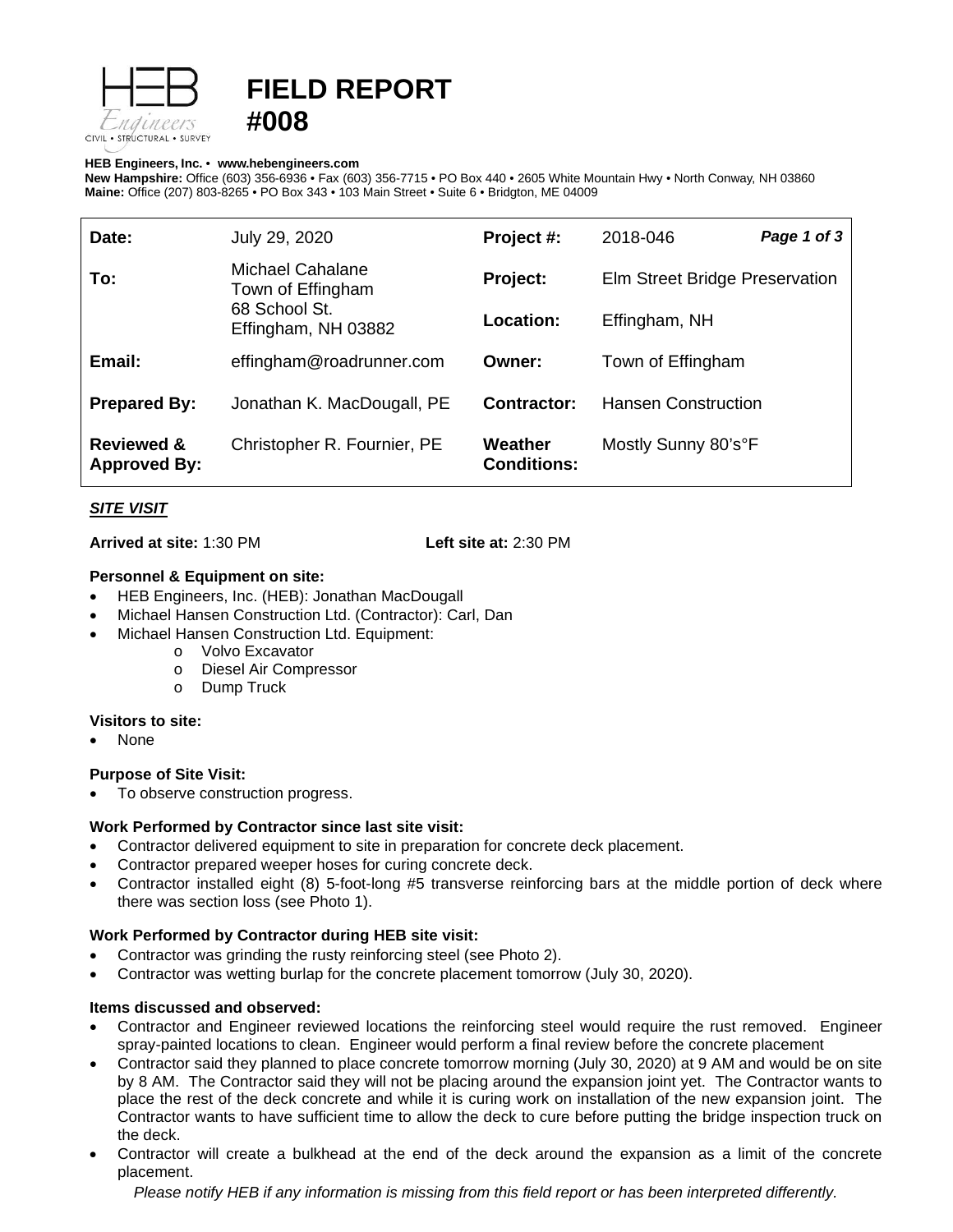

# **FIELD REPORT #008**

#### **HEB Engineers, Inc.** • **[www.hebengineer](http://www.hebengineers.com/)s.com**

**New Hampshire:** Office (603) 356-6936 • Fax (603) 356-7715 • PO Box 440 • 2605 White Mountain Hwy • North Conway, NH 03860 **Maine:** Office (207) 803-8265 • PO Box 343 • 103 Main Street • Suite 6 • Bridgton, ME 04009

| Date:                                        | July 29, 2020                                                                        | Project #:                    | 2018-046                       | Page 1 of 3 |
|----------------------------------------------|--------------------------------------------------------------------------------------|-------------------------------|--------------------------------|-------------|
| To:                                          | <b>Michael Cahalane</b><br>Town of Effingham<br>68 School St.<br>Effingham, NH 03882 | Project:                      | Elm Street Bridge Preservation |             |
|                                              |                                                                                      | Location:                     | Effingham, NH                  |             |
| Email:                                       | effingham@roadrunner.com                                                             | Owner:                        | Town of Effingham              |             |
| <b>Prepared By:</b>                          | Jonathan K. MacDougall, PE                                                           | Contractor:                   | <b>Hansen Construction</b>     |             |
| <b>Reviewed &amp;</b><br><b>Approved By:</b> | Christopher R. Fournier, PE                                                          | Weather<br><b>Conditions:</b> | Mostly Sunny 80's°F            |             |

## *SITE VISIT*

**Arrived at site:** 1:30 PM **Left site at:** 2:30 PM

#### **Personnel & Equipment on site:**

- HEB Engineers, Inc. (HEB): Jonathan MacDougall
- Michael Hansen Construction Ltd. (Contractor): Carl, Dan
- Michael Hansen Construction Ltd. Equipment:
	- o Volvo Excavator
	- o Diesel Air Compressor
	- o Dump Truck

#### **Visitors to site:**

• None

## **Purpose of Site Visit:**

To observe construction progress.

## **Work Performed by Contractor since last site visit:**

- Contractor delivered equipment to site in preparation for concrete deck placement.
- Contractor prepared weeper hoses for curing concrete deck.
- Contractor installed eight (8) 5-foot-long #5 transverse reinforcing bars at the middle portion of deck where there was section loss (see Photo 1).

## **Work Performed by Contractor during HEB site visit:**

- Contractor was grinding the rusty reinforcing steel (see Photo 2).
- Contractor was wetting burlap for the concrete placement tomorrow (July 30, 2020).

## **Items discussed and observed:**

- Contractor and Engineer reviewed locations the reinforcing steel would require the rust removed. Engineer spray-painted locations to clean. Engineer would perform a final review before the concrete placement
- Contractor said they planned to place concrete tomorrow morning (July 30, 2020) at 9 AM and would be on site by 8 AM. The Contractor said they will not be placing around the expansion joint yet. The Contractor wants to place the rest of the deck concrete and while it is curing work on installation of the new expansion joint. The Contractor wants to have sufficient time to allow the deck to cure before putting the bridge inspection truck on the deck.
- Contractor will create a bulkhead at the end of the deck around the expansion as a limit of the concrete placement.

*Please notify HEB if any information is missing from this field report or has been interpreted differently.*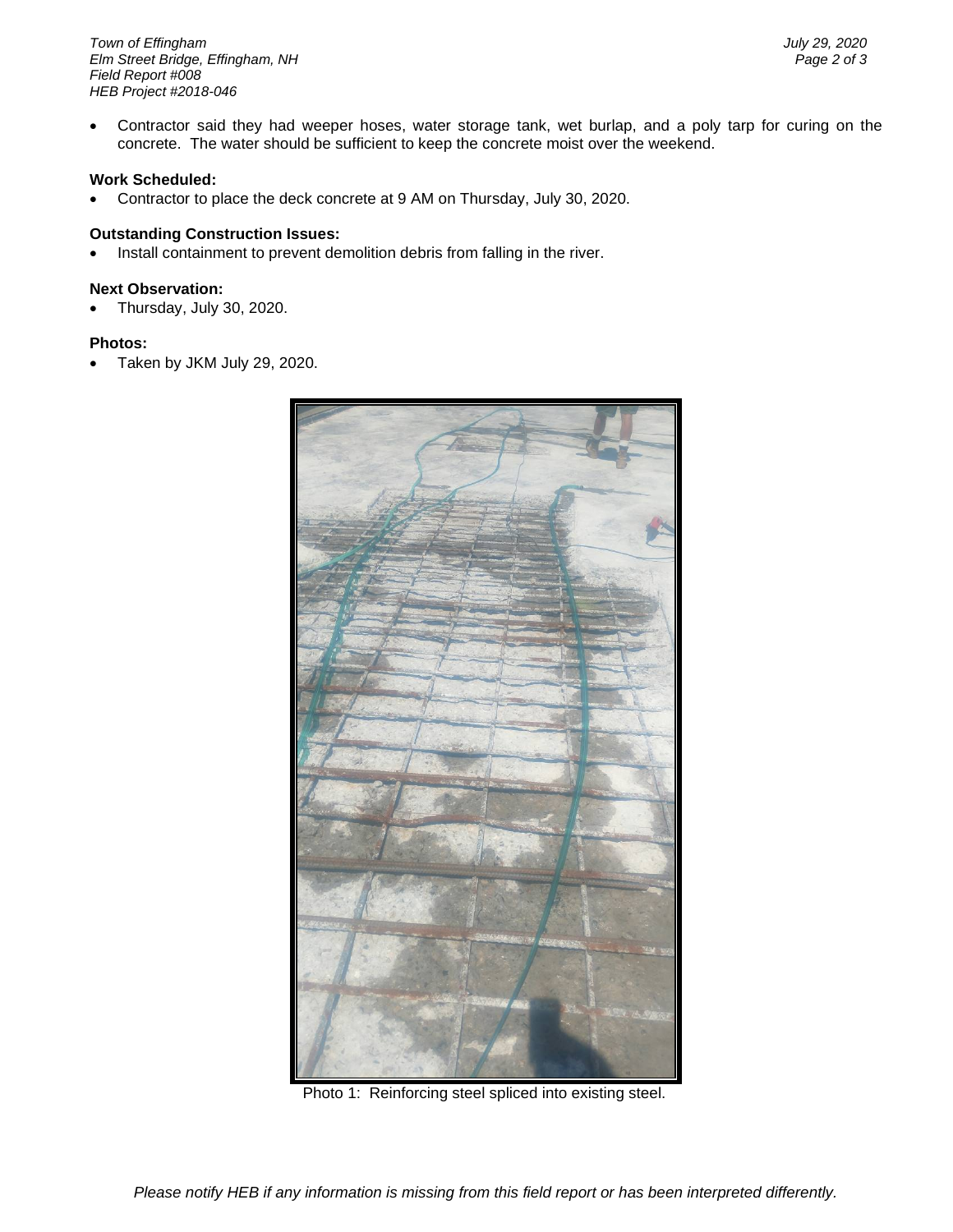*Town of Effingham July 29, 2020 <i>Elm Street Bridge, Effingham, NH Field Report #008 HEB Project #2018-046*

• Contractor said they had weeper hoses, water storage tank, wet burlap, and a poly tarp for curing on the concrete. The water should be sufficient to keep the concrete moist over the weekend.

#### **Work Scheduled:**

• Contractor to place the deck concrete at 9 AM on Thursday, July 30, 2020.

#### **Outstanding Construction Issues:**

• Install containment to prevent demolition debris from falling in the river.

#### **Next Observation:**

• Thursday, July 30, 2020.

#### **Photos:**

• Taken by JKM July 29, 2020.



Photo 1: Reinforcing steel spliced into existing steel.